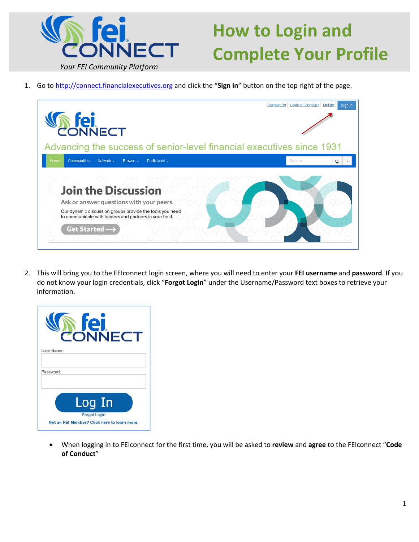

## **How to Login and Complete Your Profile**

1. Go to http://connect.financialexecutives.org and click the "**Sign in**" button on the top right of the page.



2. This will bring you to the FEIconnect login screen, where you will need to enter your **FEI username** and **password**. If you do not know your login credentials, click "**Forgot Login**" under the Username/Password text boxes to retrieve your information.

|                         | ONNECT                                                              |  |  |
|-------------------------|---------------------------------------------------------------------|--|--|
| User Name:<br>Password: |                                                                     |  |  |
|                         | Log In                                                              |  |  |
|                         | <b>Forgot Login</b><br>Not an FEI Member? Click here to learn more. |  |  |

 When logging in to FEIconnect for the first time, you will be asked to **review** and **agree** to the FEIconnect "**Code of Conduct**"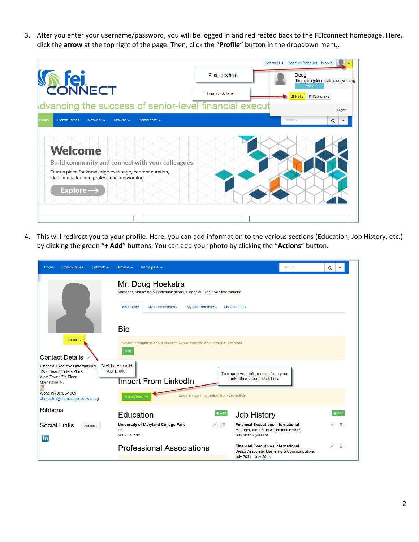3. After you enter your username/password, you will be logged in and redirected back to the FEIconnect homepage. Here, click the **arrow** at the top right of the page. Then, click the "**Profile**" button in the dropdown menu.



4. This will redirect you to your profile. Here, you can add information to the various sections (Education, Job History, etc.) by clicking the green "**+ Add**" buttons. You can add your photo by clicking the "**Actions**" button.

| Home<br>Communities<br>Network $\sim$                                                                                | Participate $\sim$<br>Browse $\sim$                                                                                                                                                                                                                                                                                                                                                                                                     | Search                                                                                    | Q<br>$\blacktriangledown$ |  |  |  |
|----------------------------------------------------------------------------------------------------------------------|-----------------------------------------------------------------------------------------------------------------------------------------------------------------------------------------------------------------------------------------------------------------------------------------------------------------------------------------------------------------------------------------------------------------------------------------|-------------------------------------------------------------------------------------------|---------------------------|--|--|--|
|                                                                                                                      | Mr. Doug Hoekstra<br>Manager, Marketing & Communications, Financial Executives International<br><b>My Profile</b><br>My Connections -<br><b>My Contributions</b><br>My Account -<br><b>Bio</b>                                                                                                                                                                                                                                          |                                                                                           |                           |  |  |  |
| Actions -<br><b>Contact Details</b>                                                                                  | Share information about yourself - your work life and personal interests<br>Add                                                                                                                                                                                                                                                                                                                                                         |                                                                                           |                           |  |  |  |
| <b>Financial Executives International</b><br>1250 Headquarters Plaza<br>West Tower, 7th Floor<br>Morristown, NJ<br>P | Click here to add<br>your photo.<br>To import your information from your<br>LinkedIn account, click here.<br>Import From LinkedIn                                                                                                                                                                                                                                                                                                       |                                                                                           |                           |  |  |  |
| Work: (973)765-1069<br>dhoekstra@financialexecutives.org                                                             | Update your information from LinkedIn®<br><b>Import Your Info</b>                                                                                                                                                                                                                                                                                                                                                                       |                                                                                           |                           |  |  |  |
| <b>Ribbons</b>                                                                                                       | $+Add$<br><b>Education</b><br><b>Job History</b>                                                                                                                                                                                                                                                                                                                                                                                        |                                                                                           | $+$ Add                   |  |  |  |
| <b>Social Links</b><br>Actions $\sim$<br>in.                                                                         | $\begin{picture}(20,20) \put(0,0){\line(1,0){10}} \put(15,0){\line(1,0){10}} \put(15,0){\line(1,0){10}} \put(15,0){\line(1,0){10}} \put(15,0){\line(1,0){10}} \put(15,0){\line(1,0){10}} \put(15,0){\line(1,0){10}} \put(15,0){\line(1,0){10}} \put(15,0){\line(1,0){10}} \put(15,0){\line(1,0){10}} \put(15,0){\line(1,0){10}} \put(15,0){\line(1$<br>University of Maryland College Park<br>BA<br>2002 To 2005<br>July 2014 - present | <b>Financial Executives International</b><br>Manager, Marketing & Communications          | ノー童                       |  |  |  |
|                                                                                                                      | <b>Professional Associations</b><br>July 2011 - July 2014                                                                                                                                                                                                                                                                                                                                                                               | <b>Financial Executives International</b><br>Senior Associate, Marketing & Communications |                           |  |  |  |